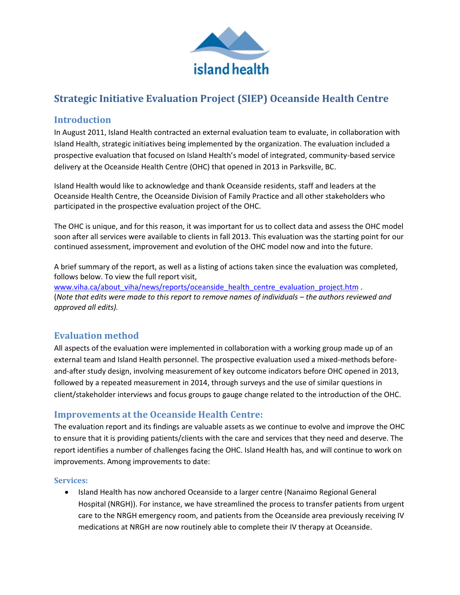

# **Strategic Initiative Evaluation Project (SIEP) Oceanside Health Centre**

## **Introduction**

In August 2011, Island Health contracted an external evaluation team to evaluate, in collaboration with Island Health, strategic initiatives being implemented by the organization. The evaluation included a prospective evaluation that focused on Island Health's model of integrated, community-based service delivery at the Oceanside Health Centre (OHC) that opened in 2013 in Parksville, BC.

Island Health would like to acknowledge and thank Oceanside residents, staff and leaders at the Oceanside Health Centre, the Oceanside Division of Family Practice and all other stakeholders who participated in the prospective evaluation project of the OHC.

The OHC is unique, and for this reason, it was important for us to collect data and assess the OHC model soon after all services were available to clients in fall 2013. This evaluation was the starting point for our continued assessment, improvement and evolution of the OHC model now and into the future.

A brief summary of the report, as well as a listing of actions taken since the evaluation was completed, follows below. To view the full report visit,

[www.viha.ca/about\\_viha/news/reports/oceanside\\_health\\_centre\\_evaluation\\_project.htm](http://www.viha.ca/about_viha/news/reports/oceanside_health_centre_evaluation_project.htm) . (*Note that edits were made to this report to remove names of individuals – the authors reviewed and approved all edits).*

## **Evaluation method**

All aspects of the evaluation were implemented in collaboration with a working group made up of an external team and Island Health personnel. The prospective evaluation used a mixed-methods beforeand-after study design, involving measurement of key outcome indicators before OHC opened in 2013, followed by a repeated measurement in 2014, through surveys and the use of similar questions in client/stakeholder interviews and focus groups to gauge change related to the introduction of the OHC.

## **Improvements at the Oceanside Health Centre:**

The evaluation report and its findings are valuable assets as we continue to evolve and improve the OHC to ensure that it is providing patients/clients with the care and services that they need and deserve. The report identifies a number of challenges facing the OHC. Island Health has, and will continue to work on improvements. Among improvements to date:

#### **Services:**

 Island Health has now anchored Oceanside to a larger centre (Nanaimo Regional General Hospital (NRGH)). For instance, we have streamlined the process to transfer patients from urgent care to the NRGH emergency room, and patients from the Oceanside area previously receiving IV medications at NRGH are now routinely able to complete their IV therapy at Oceanside.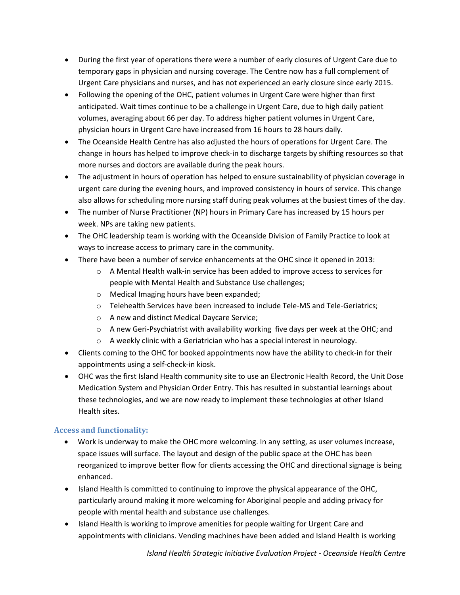- During the first year of operations there were a number of early closures of Urgent Care due to temporary gaps in physician and nursing coverage. The Centre now has a full complement of Urgent Care physicians and nurses, and has not experienced an early closure since early 2015.
- Following the opening of the OHC, patient volumes in Urgent Care were higher than first anticipated. Wait times continue to be a challenge in Urgent Care, due to high daily patient volumes, averaging about 66 per day. To address higher patient volumes in Urgent Care, physician hours in Urgent Care have increased from 16 hours to 28 hours daily.
- The Oceanside Health Centre has also adjusted the hours of operations for Urgent Care. The change in hours has helped to improve check-in to discharge targets by shifting resources so that more nurses and doctors are available during the peak hours.
- The adjustment in hours of operation has helped to ensure sustainability of physician coverage in urgent care during the evening hours, and improved consistency in hours of service. This change also allows for scheduling more nursing staff during peak volumes at the busiest times of the day.
- The number of Nurse Practitioner (NP) hours in Primary Care has increased by 15 hours per week. NPs are taking new patients.
- The OHC leadership team is working with the Oceanside Division of Family Practice to look at ways to increase access to primary care in the community.
- There have been a number of service enhancements at the OHC since it opened in 2013:
	- $\circ$  A Mental Health walk-in service has been added to improve access to services for people with Mental Health and Substance Use challenges;
	- o Medical Imaging hours have been expanded;
	- o Telehealth Services have been increased to include Tele-MS and Tele-Geriatrics;
	- o A new and distinct Medical Daycare Service;
	- $\circ$  A new Geri-Psychiatrist with availability working five days per week at the OHC; and
	- o A weekly clinic with a Geriatrician who has a special interest in neurology.
- Clients coming to the OHC for booked appointments now have the ability to check-in for their appointments using a self-check-in kiosk.
- OHC was the first Island Health community site to use an Electronic Health Record, the Unit Dose Medication System and Physician Order Entry. This has resulted in substantial learnings about these technologies, and we are now ready to implement these technologies at other Island Health sites.

## **Access and functionality:**

- Work is underway to make the OHC more welcoming. In any setting, as user volumes increase, space issues will surface. The layout and design of the public space at the OHC has been reorganized to improve better flow for clients accessing the OHC and directional signage is being enhanced.
- Island Health is committed to continuing to improve the physical appearance of the OHC, particularly around making it more welcoming for Aboriginal people and adding privacy for people with mental health and substance use challenges.
- Island Health is working to improve amenities for people waiting for Urgent Care and appointments with clinicians. Vending machines have been added and Island Health is working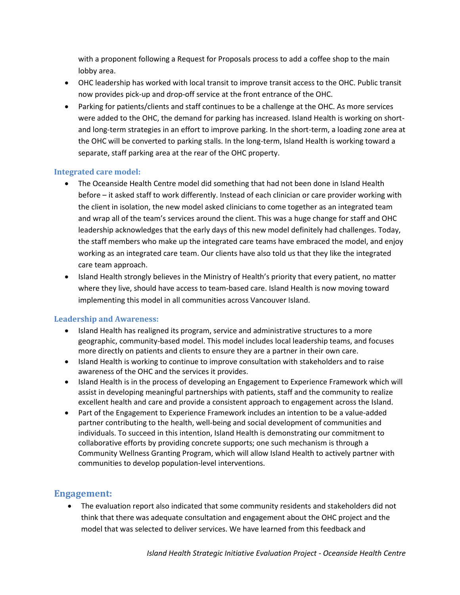with a proponent following a Request for Proposals process to add a coffee shop to the main lobby area.

- OHC leadership has worked with local transit to improve transit access to the OHC. Public transit now provides pick-up and drop-off service at the front entrance of the OHC.
- Parking for patients/clients and staff continues to be a challenge at the OHC. As more services were added to the OHC, the demand for parking has increased. Island Health is working on shortand long-term strategies in an effort to improve parking. In the short-term, a loading zone area at the OHC will be converted to parking stalls. In the long-term, Island Health is working toward a separate, staff parking area at the rear of the OHC property.

#### **Integrated care model:**

- The Oceanside Health Centre model did something that had not been done in Island Health before – it asked staff to work differently. Instead of each clinician or care provider working with the client in isolation, the new model asked clinicians to come together as an integrated team and wrap all of the team's services around the client. This was a huge change for staff and OHC leadership acknowledges that the early days of this new model definitely had challenges. Today, the staff members who make up the integrated care teams have embraced the model, and enjoy working as an integrated care team. Our clients have also told us that they like the integrated care team approach.
- Island Health strongly believes in the Ministry of Health's priority that every patient, no matter where they live, should have access to team-based care. Island Health is now moving toward implementing this model in all communities across Vancouver Island.

#### **Leadership and Awareness:**

- Island Health has realigned its program, service and administrative structures to a more geographic, community-based model. This model includes local leadership teams, and focuses more directly on patients and clients to ensure they are a partner in their own care.
- Island Health is working to continue to improve consultation with stakeholders and to raise awareness of the OHC and the services it provides.
- Island Health is in the process of developing an Engagement to Experience Framework which will assist in developing meaningful partnerships with patients, staff and the community to realize excellent health and care and provide a consistent approach to engagement across the Island.
- Part of the Engagement to Experience Framework includes an intention to be a value-added partner contributing to the health, well-being and social development of communities and individuals. To succeed in this intention, Island Health is demonstrating our commitment to collaborative efforts by providing concrete supports; one such mechanism is through a Community Wellness Granting Program, which will allow Island Health to actively partner with communities to develop population-level interventions.

#### **Engagement:**

 The evaluation report also indicated that some community residents and stakeholders did not think that there was adequate consultation and engagement about the OHC project and the model that was selected to deliver services. We have learned from this feedback and